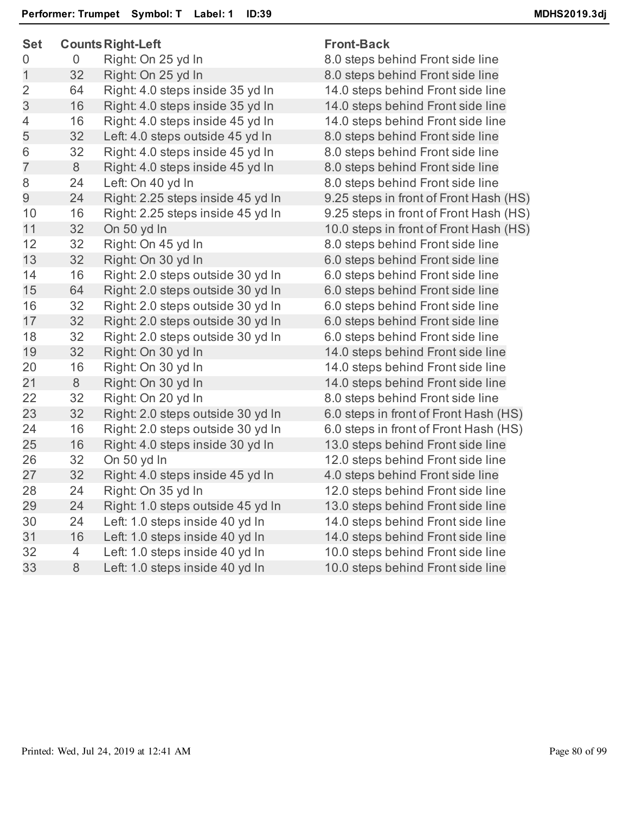| <b>Set</b>     |    | <b>Counts Right-Left</b>          | <b>Front-Back</b> |
|----------------|----|-----------------------------------|-------------------|
| 0              | 0  | Right: On 25 yd In                | 8.0 steps be      |
| $\overline{1}$ | 32 | Right: On 25 yd In                | 8.0 steps be      |
| $\overline{2}$ | 64 | Right: 4.0 steps inside 35 yd In  | 14.0 steps b      |
| 3              | 16 | Right: 4.0 steps inside 35 yd In  | 14.0 steps b      |
| 4              | 16 | Right: 4.0 steps inside 45 yd In  | 14.0 steps b      |
| 5              | 32 | Left: 4.0 steps outside 45 yd In  | 8.0 steps be      |
| 6              | 32 | Right: 4.0 steps inside 45 yd In  | 8.0 steps be      |
| $\overline{7}$ | 8  | Right: 4.0 steps inside 45 yd In  | 8.0 steps be      |
| 8              | 24 | Left: On 40 yd In                 | 8.0 steps be      |
| 9              | 24 | Right: 2.25 steps inside 45 yd In | 9.25 steps in     |
| 10             | 16 | Right: 2.25 steps inside 45 yd In | 9.25 steps ir     |
| 11             | 32 | On 50 yd In                       | 10.0 steps ir     |
| 12             | 32 | Right: On 45 yd In                | 8.0 steps be      |
| 13             | 32 | Right: On 30 yd In                | 6.0 steps be      |
| 14             | 16 | Right: 2.0 steps outside 30 yd In | 6.0 steps be      |
| 15             | 64 | Right: 2.0 steps outside 30 yd In | 6.0 steps be      |
| 16             | 32 | Right: 2.0 steps outside 30 yd In | 6.0 steps be      |
| 17             | 32 | Right: 2.0 steps outside 30 yd In | 6.0 steps be      |
| 18             | 32 | Right: 2.0 steps outside 30 yd In | 6.0 steps be      |
| 19             | 32 | Right: On 30 yd In                | 14.0 steps b      |
| 20             | 16 | Right: On 30 yd In                | 14.0 steps b      |
| 21             | 8  | Right: On 30 yd In                | 14.0 steps b      |
| 22             | 32 | Right: On 20 yd In                | 8.0 steps be      |
| 23             | 32 | Right: 2.0 steps outside 30 yd In | 6.0 steps in      |
| 24             | 16 | Right: 2.0 steps outside 30 yd In | 6.0 steps in      |
| 25             | 16 | Right: 4.0 steps inside 30 yd In  | 13.0 steps b      |
| 26             | 32 | On 50 yd In                       | 12.0 steps b      |
| 27             | 32 | Right: 4.0 steps inside 45 yd In  | 4.0 steps be      |
| 28             | 24 | Right: On 35 yd In                | 12.0 steps b      |
| 29             | 24 | Right: 1.0 steps outside 45 yd In | 13.0 steps b      |
| 30             | 24 | Left: 1.0 steps inside 40 yd In   | 14.0 steps b      |
| 31             | 16 | Left: 1.0 steps inside 40 yd In   | 14.0 steps b      |
| 32             | 4  | Left: 1.0 steps inside 40 yd In   | 10.0 steps b      |
| 33             | 8  | Left: 1.0 steps inside 40 yd In   | 10.0 steps b      |
|                |    |                                   |                   |

8.0 steps behind Front side line 8.0 steps behind Front side line 14.0 steps behind Front side line 14.0 steps behind Front side line 14.0 steps behind Front side line 8.0 steps behind Front side line 8.0 steps behind Front side line 8.0 steps behind Front side line 8.0 steps behind Front side line 9.25 steps in front of Front Hash (HS) 9.25 steps in front of Front Hash (HS) 10.0 steps in front of Front Hash (HS) 8.0 steps behind Front side line 6.0 steps behind Front side line 6.0 steps behind Front side line 6.0 steps behind Front side line 6.0 steps behind Front side line 6.0 steps behind Front side line 6.0 steps behind Front side line 14.0 steps behind Front side line 14.0 steps behind Front side line 14.0 steps behind Front side line 8.0 steps behind Front side line 6.0 steps in front of Front Hash (HS) 6.0 steps in front of Front Hash (HS) 13.0 steps behind Front side line 12.0 steps behind Front side line 4.0 steps behind Front side line 12.0 steps behind Front side line 13.0 steps behind Front side line 14.0 steps behind Front side line 14.0 steps behind Front side line 10.0 steps behind Front side line 10.0 steps behind Front side line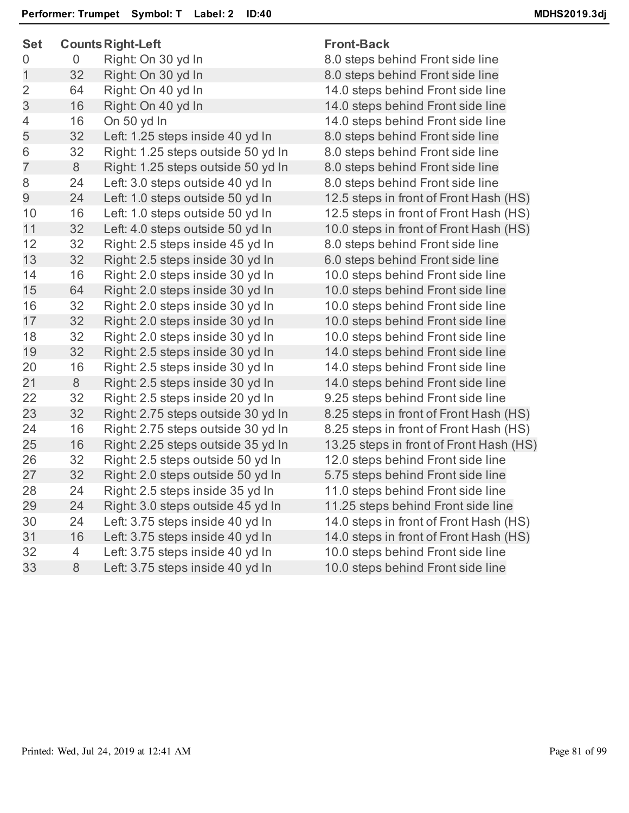| <b>Set</b>     |                | <b>Counts Right-Left</b>           | <b>Front-Back</b>                       |
|----------------|----------------|------------------------------------|-----------------------------------------|
| 0              | 0              | Right: On 30 yd In                 | 8.0 steps behind Front side line        |
| $\mathbf{1}$   | 32             | Right: On 30 yd In                 | 8.0 steps behind Front side line        |
| $\overline{2}$ | 64             | Right: On 40 yd In                 | 14.0 steps behind Front side line       |
| 3              | 16             | Right: On 40 yd In                 | 14.0 steps behind Front side line       |
| 4              | 16             | On 50 yd In                        | 14.0 steps behind Front side line       |
| 5              | 32             | Left: 1.25 steps inside 40 yd In   | 8.0 steps behind Front side line        |
| 6              | 32             | Right: 1.25 steps outside 50 yd In | 8.0 steps behind Front side line        |
| $\overline{7}$ | 8              | Right: 1.25 steps outside 50 yd In | 8.0 steps behind Front side line        |
| 8              | 24             | Left: 3.0 steps outside 40 yd In   | 8.0 steps behind Front side line        |
| 9              | 24             | Left: 1.0 steps outside 50 yd In   | 12.5 steps in front of Front Hash (HS)  |
| 10             | 16             | Left: 1.0 steps outside 50 yd In   | 12.5 steps in front of Front Hash (HS)  |
| 11             | 32             | Left: 4.0 steps outside 50 yd In   | 10.0 steps in front of Front Hash (HS)  |
| 12             | 32             | Right: 2.5 steps inside 45 yd In   | 8.0 steps behind Front side line        |
| 13             | 32             | Right: 2.5 steps inside 30 yd In   | 6.0 steps behind Front side line        |
| 14             | 16             | Right: 2.0 steps inside 30 yd In   | 10.0 steps behind Front side line       |
| 15             | 64             | Right: 2.0 steps inside 30 yd In   | 10.0 steps behind Front side line       |
| 16             | 32             | Right: 2.0 steps inside 30 yd In   | 10.0 steps behind Front side line       |
| 17             | 32             | Right: 2.0 steps inside 30 yd In   | 10.0 steps behind Front side line       |
| 18             | 32             | Right: 2.0 steps inside 30 yd In   | 10.0 steps behind Front side line       |
| 19             | 32             | Right: 2.5 steps inside 30 yd In   | 14.0 steps behind Front side line       |
| 20             | 16             | Right: 2.5 steps inside 30 yd In   | 14.0 steps behind Front side line       |
| 21             | $8\phantom{1}$ | Right: 2.5 steps inside 30 yd In   | 14.0 steps behind Front side line       |
| 22             | 32             | Right: 2.5 steps inside 20 yd In   | 9.25 steps behind Front side line       |
| 23             | 32             | Right: 2.75 steps outside 30 yd In | 8.25 steps in front of Front Hash (HS)  |
| 24             | 16             | Right: 2.75 steps outside 30 yd In | 8.25 steps in front of Front Hash (HS)  |
| 25             | 16             | Right: 2.25 steps outside 35 yd In | 13.25 steps in front of Front Hash (HS) |
| 26             | 32             | Right: 2.5 steps outside 50 yd In  | 12.0 steps behind Front side line       |
| 27             | 32             | Right: 2.0 steps outside 50 yd In  | 5.75 steps behind Front side line       |
| 28             | 24             | Right: 2.5 steps inside 35 yd In   | 11.0 steps behind Front side line       |
| 29             | 24             | Right: 3.0 steps outside 45 yd In  | 11.25 steps behind Front side line      |
| 30             | 24             | Left: 3.75 steps inside 40 yd In   | 14.0 steps in front of Front Hash (HS)  |
| 31             | 16             | Left: 3.75 steps inside 40 yd In   | 14.0 steps in front of Front Hash (HS)  |
| 32             | 4              | Left: 3.75 steps inside 40 yd In   | 10.0 steps behind Front side line       |
| 33             | 8              | Left: 3.75 steps inside 40 yd In   | 10.0 steps behind Front side line       |
|                |                |                                    |                                         |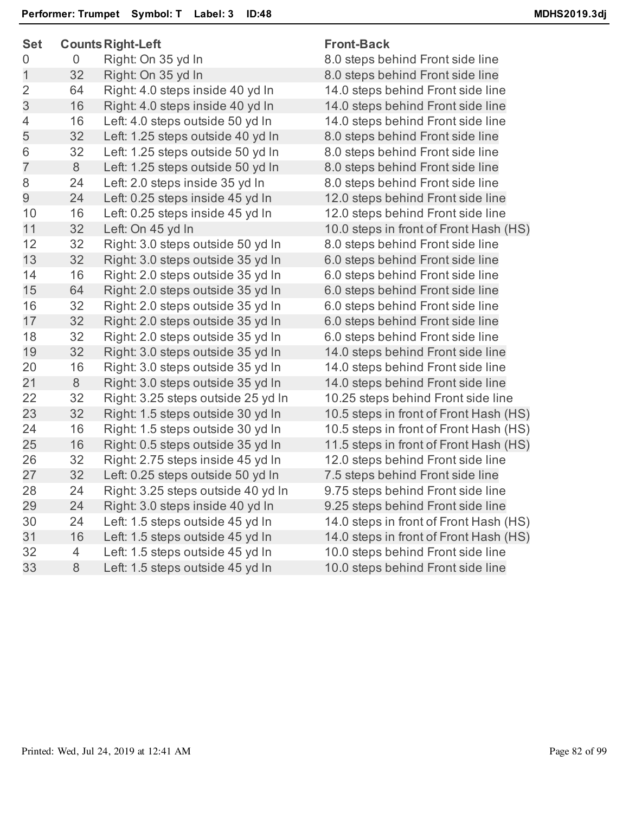| <b>Set</b>     | <b>Counts Right-Left</b> |                                    | <b>Front-Back</b>                      |  |
|----------------|--------------------------|------------------------------------|----------------------------------------|--|
| $\overline{0}$ | $\overline{0}$           | Right: On 35 yd In                 | 8.0 steps behind Front side line       |  |
| $\mathbf 1$    | 32                       | Right: On 35 yd In                 | 8.0 steps behind Front side line       |  |
| $\overline{2}$ | 64                       | Right: 4.0 steps inside 40 yd In   | 14.0 steps behind Front side line      |  |
| 3              | 16                       | Right: 4.0 steps inside 40 yd In   | 14.0 steps behind Front side line      |  |
| 4              | 16                       | Left: 4.0 steps outside 50 yd In   | 14.0 steps behind Front side line      |  |
| 5              | 32                       | Left: 1.25 steps outside 40 yd In  | 8.0 steps behind Front side line       |  |
| 6              | 32                       | Left: 1.25 steps outside 50 yd In  | 8.0 steps behind Front side line       |  |
| $\overline{7}$ | 8                        | Left: 1.25 steps outside 50 yd In  | 8.0 steps behind Front side line       |  |
| 8              | 24                       | Left: 2.0 steps inside 35 yd In    | 8.0 steps behind Front side line       |  |
| 9              | 24                       | Left: 0.25 steps inside 45 yd In   | 12.0 steps behind Front side line      |  |
| 10             | 16                       | Left: 0.25 steps inside 45 yd In   | 12.0 steps behind Front side line      |  |
| 11             | 32                       | Left: On 45 yd In                  | 10.0 steps in front of Front Hash (HS) |  |
| 12             | 32                       | Right: 3.0 steps outside 50 yd In  | 8.0 steps behind Front side line       |  |
| 13             | 32                       | Right: 3.0 steps outside 35 yd In  | 6.0 steps behind Front side line       |  |
| 14             | 16                       | Right: 2.0 steps outside 35 yd In  | 6.0 steps behind Front side line       |  |
| 15             | 64                       | Right: 2.0 steps outside 35 yd In  | 6.0 steps behind Front side line       |  |
| 16             | 32                       | Right: 2.0 steps outside 35 yd In  | 6.0 steps behind Front side line       |  |
| 17             | 32                       | Right: 2.0 steps outside 35 yd In  | 6.0 steps behind Front side line       |  |
| 18             | 32                       | Right: 2.0 steps outside 35 yd In  | 6.0 steps behind Front side line       |  |
| 19             | 32                       | Right: 3.0 steps outside 35 yd In  | 14.0 steps behind Front side line      |  |
| 20             | 16                       | Right: 3.0 steps outside 35 yd In  | 14.0 steps behind Front side line      |  |
| 21             | 8                        | Right: 3.0 steps outside 35 yd In  | 14.0 steps behind Front side line      |  |
| 22             | 32                       | Right: 3.25 steps outside 25 yd In | 10.25 steps behind Front side line     |  |
| 23             | 32                       | Right: 1.5 steps outside 30 yd In  | 10.5 steps in front of Front Hash (HS) |  |
| 24             | 16                       | Right: 1.5 steps outside 30 yd In  | 10.5 steps in front of Front Hash (HS) |  |
| 25             | 16                       | Right: 0.5 steps outside 35 yd In  | 11.5 steps in front of Front Hash (HS) |  |
| 26             | 32                       | Right: 2.75 steps inside 45 yd In  | 12.0 steps behind Front side line      |  |
| 27             | 32                       | Left: 0.25 steps outside 50 yd In  | 7.5 steps behind Front side line       |  |
| 28             | 24                       | Right: 3.25 steps outside 40 yd In | 9.75 steps behind Front side line      |  |
| 29             | 24                       | Right: 3.0 steps inside 40 yd In   | 9.25 steps behind Front side line      |  |
| 30             | 24                       | Left: 1.5 steps outside 45 yd In   | 14.0 steps in front of Front Hash (HS) |  |
| 31             | 16                       | Left: 1.5 steps outside 45 yd In   | 14.0 steps in front of Front Hash (HS) |  |
| 32             | $\overline{4}$           | Left: 1.5 steps outside 45 yd In   | 10.0 steps behind Front side line      |  |
| 33             | 8                        | Left: 1.5 steps outside 45 yd In   | 10.0 steps behind Front side line      |  |
|                |                          |                                    |                                        |  |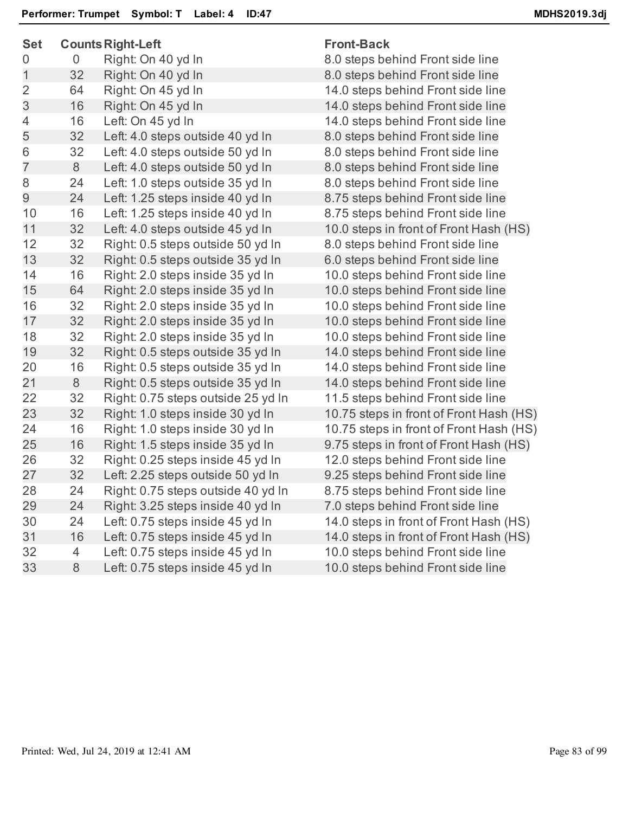| <b>Set</b>     | <b>Counts Right-Left</b> |                                    | <b>Front-Back</b>                       |  |
|----------------|--------------------------|------------------------------------|-----------------------------------------|--|
| 0              | 0                        | Right: On 40 yd In                 | 8.0 steps behind Front side line        |  |
| $\mathbf{1}$   | 32                       | Right: On 40 yd In                 | 8.0 steps behind Front side line        |  |
| $\overline{2}$ | 64                       | Right: On 45 yd In                 | 14.0 steps behind Front side line       |  |
| 3              | 16                       | Right: On 45 yd In                 | 14.0 steps behind Front side line       |  |
| 4              | 16                       | Left: On 45 yd In                  | 14.0 steps behind Front side line       |  |
| 5              | 32                       | Left: 4.0 steps outside 40 yd In   | 8.0 steps behind Front side line        |  |
| 6              | 32                       | Left: 4.0 steps outside 50 yd In   | 8.0 steps behind Front side line        |  |
| $\overline{7}$ | 8                        | Left: 4.0 steps outside 50 yd In   | 8.0 steps behind Front side line        |  |
| 8              | 24                       | Left: 1.0 steps outside 35 yd In   | 8.0 steps behind Front side line        |  |
| $\overline{9}$ | 24                       | Left: 1.25 steps inside 40 yd In   | 8.75 steps behind Front side line       |  |
| 10             | 16                       | Left: 1.25 steps inside 40 yd In   | 8.75 steps behind Front side line       |  |
| 11             | 32                       | Left: 4.0 steps outside 45 yd In   | 10.0 steps in front of Front Hash (HS)  |  |
| 12             | 32                       | Right: 0.5 steps outside 50 yd In  | 8.0 steps behind Front side line        |  |
| 13             | 32                       | Right: 0.5 steps outside 35 yd In  | 6.0 steps behind Front side line        |  |
| 14             | 16                       | Right: 2.0 steps inside 35 yd In   | 10.0 steps behind Front side line       |  |
| 15             | 64                       | Right: 2.0 steps inside 35 yd In   | 10.0 steps behind Front side line       |  |
| 16             | 32                       | Right: 2.0 steps inside 35 yd In   | 10.0 steps behind Front side line       |  |
| 17             | 32                       | Right: 2.0 steps inside 35 yd In   | 10.0 steps behind Front side line       |  |
| 18             | 32                       | Right: 2.0 steps inside 35 yd In   | 10.0 steps behind Front side line       |  |
| 19             | 32                       | Right: 0.5 steps outside 35 yd In  | 14.0 steps behind Front side line       |  |
| 20             | 16                       | Right: 0.5 steps outside 35 yd In  | 14.0 steps behind Front side line       |  |
| 21             | 8                        | Right: 0.5 steps outside 35 yd In  | 14.0 steps behind Front side line       |  |
| 22             | 32                       | Right: 0.75 steps outside 25 yd In | 11.5 steps behind Front side line       |  |
| 23             | 32                       | Right: 1.0 steps inside 30 yd In   | 10.75 steps in front of Front Hash (HS) |  |
| 24             | 16                       | Right: 1.0 steps inside 30 yd In   | 10.75 steps in front of Front Hash (HS) |  |
| 25             | 16                       | Right: 1.5 steps inside 35 yd In   | 9.75 steps in front of Front Hash (HS)  |  |
| 26             | 32                       | Right: 0.25 steps inside 45 yd In  | 12.0 steps behind Front side line       |  |
| 27             | 32                       | Left: 2.25 steps outside 50 yd In  | 9.25 steps behind Front side line       |  |
| 28             | 24                       | Right: 0.75 steps outside 40 yd In | 8.75 steps behind Front side line       |  |
| 29             | 24                       | Right: 3.25 steps inside 40 yd In  | 7.0 steps behind Front side line        |  |
| 30             | 24                       | Left: 0.75 steps inside 45 yd In   | 14.0 steps in front of Front Hash (HS)  |  |
| 31             | 16                       | Left: 0.75 steps inside 45 yd In   | 14.0 steps in front of Front Hash (HS)  |  |
| 32             | 4                        | Left: 0.75 steps inside 45 yd In   | 10.0 steps behind Front side line       |  |
| 33             | 8                        | Left: 0.75 steps inside 45 yd In   | 10.0 steps behind Front side line       |  |
|                |                          |                                    |                                         |  |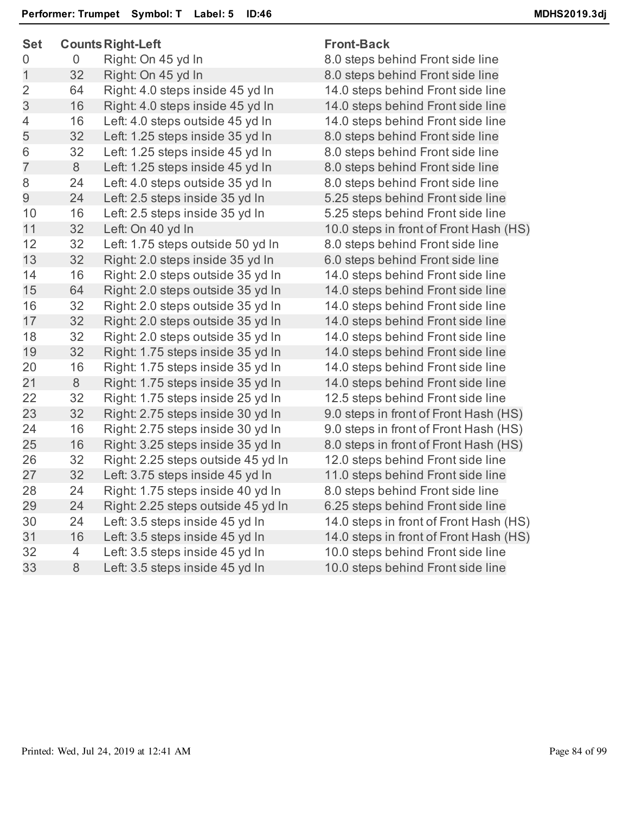| ៴ຬເ              | opulita inglit-Leit |                                    | ι ινικ-υανκ                            |  |
|------------------|---------------------|------------------------------------|----------------------------------------|--|
| $\boldsymbol{0}$ | $\overline{0}$      | Right: On 45 yd In                 | 8.0 steps behind Front side line       |  |
| $\mathbf 1$      | 32                  | Right: On 45 yd In                 | 8.0 steps behind Front side line       |  |
| $\overline{2}$   | 64                  | Right: 4.0 steps inside 45 yd In   | 14.0 steps behind Front side line      |  |
| 3                | 16                  | Right: 4.0 steps inside 45 yd In   | 14.0 steps behind Front side line      |  |
| $\overline{4}$   | 16                  | Left: 4.0 steps outside 45 yd In   | 14.0 steps behind Front side line      |  |
| 5                | 32                  | Left: 1.25 steps inside 35 yd In   | 8.0 steps behind Front side line       |  |
| 6                | 32                  | Left: 1.25 steps inside 45 yd In   | 8.0 steps behind Front side line       |  |
| $\overline{7}$   | 8                   | Left: 1.25 steps inside 45 yd In   | 8.0 steps behind Front side line       |  |
| 8                | 24                  | Left: 4.0 steps outside 35 yd In   | 8.0 steps behind Front side line       |  |
| 9                | 24                  | Left: 2.5 steps inside 35 yd In    | 5.25 steps behind Front side line      |  |
| 10               | 16                  | Left: 2.5 steps inside 35 yd In    | 5.25 steps behind Front side line      |  |
| 11               | 32                  | Left: On 40 yd In                  | 10.0 steps in front of Front Hash (HS) |  |
| 12               | 32                  | Left: 1.75 steps outside 50 yd In  | 8.0 steps behind Front side line       |  |
| 13               | 32                  | Right: 2.0 steps inside 35 yd In   | 6.0 steps behind Front side line       |  |
| 14               | 16                  | Right: 2.0 steps outside 35 yd In  | 14.0 steps behind Front side line      |  |
| 15               | 64                  | Right: 2.0 steps outside 35 yd In  | 14.0 steps behind Front side line      |  |
| 16               | 32                  | Right: 2.0 steps outside 35 yd In  | 14.0 steps behind Front side line      |  |
| 17               | 32                  | Right: 2.0 steps outside 35 yd In  | 14.0 steps behind Front side line      |  |
| 18               | 32                  | Right: 2.0 steps outside 35 yd In  | 14.0 steps behind Front side line      |  |
| 19               | 32                  | Right: 1.75 steps inside 35 yd In  | 14.0 steps behind Front side line      |  |
| 20               | 16                  | Right: 1.75 steps inside 35 yd In  | 14.0 steps behind Front side line      |  |
| 21               | $8\phantom{1}$      | Right: 1.75 steps inside 35 yd In  | 14.0 steps behind Front side line      |  |
| 22               | 32                  | Right: 1.75 steps inside 25 yd In  | 12.5 steps behind Front side line      |  |
| 23               | 32                  | Right: 2.75 steps inside 30 yd In  | 9.0 steps in front of Front Hash (HS)  |  |
| 24               | 16                  | Right: 2.75 steps inside 30 yd In  | 9.0 steps in front of Front Hash (HS)  |  |
| 25               | 16                  | Right: 3.25 steps inside 35 yd In  | 8.0 steps in front of Front Hash (HS)  |  |
| 26               | 32                  | Right: 2.25 steps outside 45 yd In | 12.0 steps behind Front side line      |  |
| 27               | 32                  | Left: 3.75 steps inside 45 yd In   | 11.0 steps behind Front side line      |  |
| 28               | 24                  | Right: 1.75 steps inside 40 yd In  | 8.0 steps behind Front side line       |  |
| 29               | 24                  | Right: 2.25 steps outside 45 yd In | 6.25 steps behind Front side line      |  |
| 30               | 24                  | Left: 3.5 steps inside 45 yd In    | 14.0 steps in front of Front Hash (HS) |  |
| 31               | 16                  | Left: 3.5 steps inside 45 yd In    | 14.0 steps in front of Front Hash (HS) |  |
| 32               | $\overline{4}$      | Left: 3.5 steps inside 45 yd In    | 10.0 steps behind Front side line      |  |
| 33               | 8                   | Left: 3.5 steps inside 45 yd In    | 10.0 steps behind Front side line      |  |
|                  |                     |                                    |                                        |  |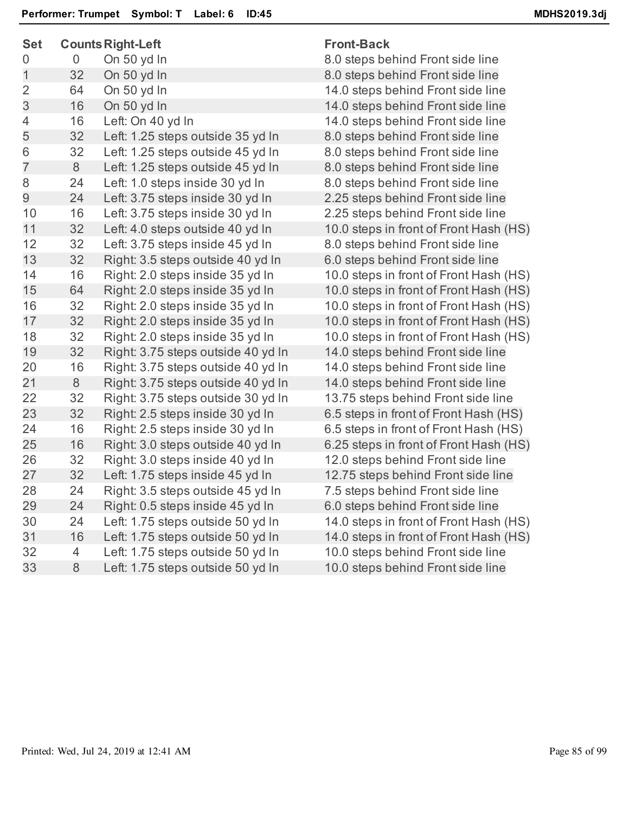| <b>Set</b>     | <b>Counts Right-Left</b> |                                    | <b>Front-Back</b>                      |  |
|----------------|--------------------------|------------------------------------|----------------------------------------|--|
| 0              | $\overline{0}$           | On 50 yd In                        | 8.0 steps behind Front side line       |  |
| 1              | 32                       | On 50 yd In                        | 8.0 steps behind Front side line       |  |
| $\overline{2}$ | 64                       | On 50 yd In                        | 14.0 steps behind Front side line      |  |
| 3              | 16                       | On 50 yd In                        | 14.0 steps behind Front side line      |  |
| 4              | 16                       | Left: On 40 yd In                  | 14.0 steps behind Front side line      |  |
| 5              | 32                       | Left: 1.25 steps outside 35 yd In  | 8.0 steps behind Front side line       |  |
| 6              | 32                       | Left: 1.25 steps outside 45 yd In  | 8.0 steps behind Front side line       |  |
| $\overline{7}$ | 8                        | Left: 1.25 steps outside 45 yd In  | 8.0 steps behind Front side line       |  |
| 8              | 24                       | Left: 1.0 steps inside 30 yd In    | 8.0 steps behind Front side line       |  |
| 9              | 24                       | Left: 3.75 steps inside 30 yd In   | 2.25 steps behind Front side line      |  |
| 10             | 16                       | Left: 3.75 steps inside 30 yd In   | 2.25 steps behind Front side line      |  |
| 11             | 32                       | Left: 4.0 steps outside 40 yd In   | 10.0 steps in front of Front Hash (HS) |  |
| 12             | 32                       | Left: 3.75 steps inside 45 yd In   | 8.0 steps behind Front side line       |  |
| 13             | 32                       | Right: 3.5 steps outside 40 yd In  | 6.0 steps behind Front side line       |  |
| 14             | 16                       | Right: 2.0 steps inside 35 yd In   | 10.0 steps in front of Front Hash (HS) |  |
| 15             | 64                       | Right: 2.0 steps inside 35 yd In   | 10.0 steps in front of Front Hash (HS) |  |
| 16             | 32                       | Right: 2.0 steps inside 35 yd In   | 10.0 steps in front of Front Hash (HS) |  |
| 17             | 32                       | Right: 2.0 steps inside 35 yd In   | 10.0 steps in front of Front Hash (HS) |  |
| 18             | 32                       | Right: 2.0 steps inside 35 yd In   | 10.0 steps in front of Front Hash (HS) |  |
| 19             | 32                       | Right: 3.75 steps outside 40 yd In | 14.0 steps behind Front side line      |  |
| 20             | 16                       | Right: 3.75 steps outside 40 yd In | 14.0 steps behind Front side line      |  |
| 21             | $8\,$                    | Right: 3.75 steps outside 40 yd In | 14.0 steps behind Front side line      |  |
| 22             | 32                       | Right: 3.75 steps outside 30 yd In | 13.75 steps behind Front side line     |  |
| 23             | 32                       | Right: 2.5 steps inside 30 yd In   | 6.5 steps in front of Front Hash (HS)  |  |
| 24             | 16                       | Right: 2.5 steps inside 30 yd In   | 6.5 steps in front of Front Hash (HS)  |  |
| 25             | 16                       | Right: 3.0 steps outside 40 yd In  | 6.25 steps in front of Front Hash (HS) |  |
| 26             | 32                       | Right: 3.0 steps inside 40 yd In   | 12.0 steps behind Front side line      |  |
| 27             | 32                       | Left: 1.75 steps inside 45 yd In   | 12.75 steps behind Front side line     |  |
| 28             | 24                       | Right: 3.5 steps outside 45 yd In  | 7.5 steps behind Front side line       |  |
| 29             | 24                       | Right: 0.5 steps inside 45 yd In   | 6.0 steps behind Front side line       |  |
| 30             | 24                       | Left: 1.75 steps outside 50 yd In  | 14.0 steps in front of Front Hash (HS) |  |
| 31             | 16                       | Left: 1.75 steps outside 50 yd In  | 14.0 steps in front of Front Hash (HS) |  |
| 32             | 4                        | Left: 1.75 steps outside 50 yd In  | 10.0 steps behind Front side line      |  |
| 33             | 8                        | Left: 1.75 steps outside 50 yd In  | 10.0 steps behind Front side line      |  |
|                |                          |                                    |                                        |  |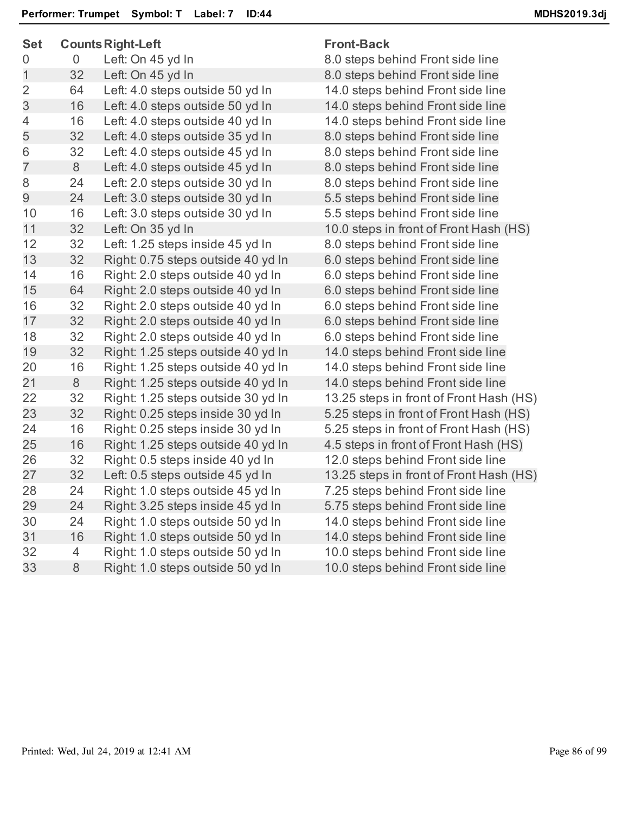| っこ             |                | Counts Night-Left                  | ι ι υπι-ρασκ                        |
|----------------|----------------|------------------------------------|-------------------------------------|
| $\overline{0}$ | $\overline{0}$ | Left: On 45 yd In                  | 8.0 steps behind Front side line    |
| $\mathbf 1$    | 32             | Left: On 45 yd In                  | 8.0 steps behind Front side line    |
| $\overline{2}$ | 64             | Left: 4.0 steps outside 50 yd In   | 14.0 steps behind Front side line   |
| 3              | 16             | Left: 4.0 steps outside 50 yd In   | 14.0 steps behind Front side line   |
| 4              | 16             | Left: 4.0 steps outside 40 yd In   | 14.0 steps behind Front side line   |
| 5              | 32             | Left: 4.0 steps outside 35 yd In   | 8.0 steps behind Front side line    |
| 6              | 32             | Left: 4.0 steps outside 45 yd In   | 8.0 steps behind Front side line    |
| $\overline{7}$ | 8              | Left: 4.0 steps outside 45 yd In   | 8.0 steps behind Front side line    |
| 8              | 24             | Left: 2.0 steps outside 30 yd In   | 8.0 steps behind Front side line    |
| 9              | 24             | Left: 3.0 steps outside 30 yd In   | 5.5 steps behind Front side line    |
| 10             | 16             | Left: 3.0 steps outside 30 yd In   | 5.5 steps behind Front side line    |
| 11             | 32             | Left: On 35 yd In                  | 10.0 steps in front of Front Hash   |
| 12             | 32             | Left: 1.25 steps inside 45 yd In   | 8.0 steps behind Front side line    |
| 13             | 32             | Right: 0.75 steps outside 40 yd In | 6.0 steps behind Front side line    |
| 14             | 16             | Right: 2.0 steps outside 40 yd In  | 6.0 steps behind Front side line    |
| 15             | 64             | Right: 2.0 steps outside 40 yd In  | 6.0 steps behind Front side line    |
| 16             | 32             | Right: 2.0 steps outside 40 yd In  | 6.0 steps behind Front side line    |
| 17             | 32             | Right: 2.0 steps outside 40 yd In  | 6.0 steps behind Front side line    |
| 18             | 32             | Right: 2.0 steps outside 40 yd In  | 6.0 steps behind Front side line    |
| 19             | 32             | Right: 1.25 steps outside 40 yd In | 14.0 steps behind Front side line   |
| 20             | 16             | Right: 1.25 steps outside 40 yd In | 14.0 steps behind Front side line   |
| 21             | 8              | Right: 1.25 steps outside 40 yd In | 14.0 steps behind Front side line   |
| 22             | 32             | Right: 1.25 steps outside 30 yd In | 13.25 steps in front of Front Hash  |
| 23             | 32             | Right: 0.25 steps inside 30 yd In  | 5.25 steps in front of Front Hash   |
| 24             | 16             | Right: 0.25 steps inside 30 yd In  | 5.25 steps in front of Front Hash   |
| 25             | 16             | Right: 1.25 steps outside 40 yd In | 4.5 steps in front of Front Hash (H |
| 26             | 32             | Right: 0.5 steps inside 40 yd In   | 12.0 steps behind Front side line   |
| 27             | 32             | Left: 0.5 steps outside 45 yd In   | 13.25 steps in front of Front Hash  |
| 28             | 24             | Right: 1.0 steps outside 45 yd In  | 7.25 steps behind Front side line   |
| 29             | 24             | Right: 3.25 steps inside 45 yd In  | 5.75 steps behind Front side line   |
| 30             | 24             | Right: 1.0 steps outside 50 yd In  | 14.0 steps behind Front side line   |
| 31             | 16             | Right: 1.0 steps outside 50 yd In  | 14.0 steps behind Front side line   |
| 32             | 4              | Right: 1.0 steps outside 50 yd In  | 10.0 steps behind Front side line   |
| 33             | 8              | Right: 1.0 steps outside 50 yd In  | 10.0 steps behind Front side line   |
|                |                |                                    |                                     |

Hash (HS) t Hash (HS) Hash (HS) Hash (HS) lash (HS) t Hash (HS)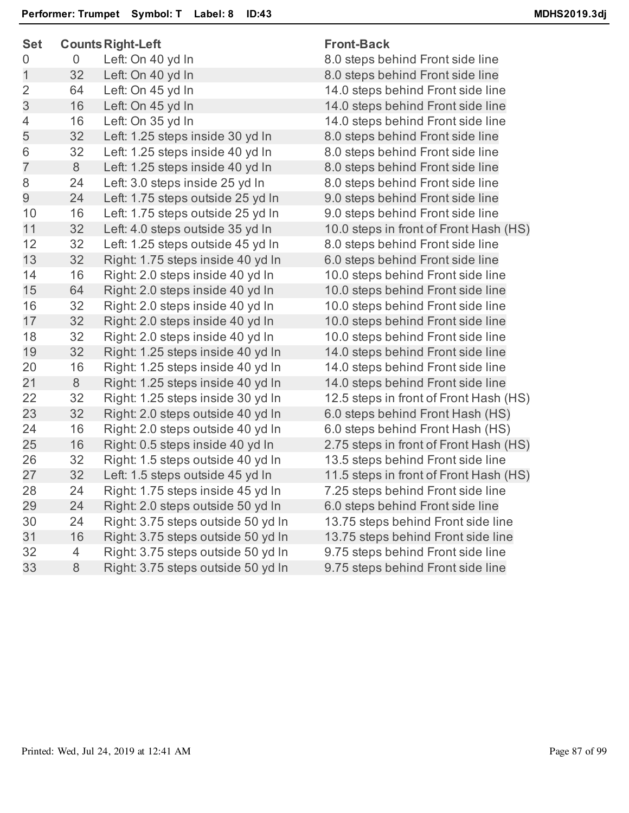| <b>Set</b>     |    | <b>Counts Right-Left</b>           | <b>Front-Back</b>                      |  |
|----------------|----|------------------------------------|----------------------------------------|--|
| 0              | 0  | Left: On 40 yd In                  | 8.0 steps behind Front side line       |  |
| $\mathbf{1}$   | 32 | Left: On 40 yd In                  | 8.0 steps behind Front side line       |  |
| $\overline{2}$ | 64 | Left: On 45 yd In                  | 14.0 steps behind Front side line      |  |
| 3              | 16 | Left: On 45 yd In                  | 14.0 steps behind Front side line      |  |
| 4              | 16 | Left: On 35 yd In                  | 14.0 steps behind Front side line      |  |
| 5              | 32 | Left: 1.25 steps inside 30 yd In   | 8.0 steps behind Front side line       |  |
| 6              | 32 | Left: 1.25 steps inside 40 yd In   | 8.0 steps behind Front side line       |  |
| $\overline{7}$ | 8  | Left: 1.25 steps inside 40 yd In   | 8.0 steps behind Front side line       |  |
| 8              | 24 | Left: 3.0 steps inside 25 yd In    | 8.0 steps behind Front side line       |  |
| 9              | 24 | Left: 1.75 steps outside 25 yd In  | 9.0 steps behind Front side line       |  |
| 10             | 16 | Left: 1.75 steps outside 25 yd In  | 9.0 steps behind Front side line       |  |
| 11             | 32 | Left: 4.0 steps outside 35 yd In   | 10.0 steps in front of Front Hash (HS) |  |
| 12             | 32 | Left: 1.25 steps outside 45 yd In  | 8.0 steps behind Front side line       |  |
| 13             | 32 | Right: 1.75 steps inside 40 yd In  | 6.0 steps behind Front side line       |  |
| 14             | 16 | Right: 2.0 steps inside 40 yd In   | 10.0 steps behind Front side line      |  |
| 15             | 64 | Right: 2.0 steps inside 40 yd In   | 10.0 steps behind Front side line      |  |
| 16             | 32 | Right: 2.0 steps inside 40 yd In   | 10.0 steps behind Front side line      |  |
| 17             | 32 | Right: 2.0 steps inside 40 yd In   | 10.0 steps behind Front side line      |  |
| 18             | 32 | Right: 2.0 steps inside 40 yd In   | 10.0 steps behind Front side line      |  |
| 19             | 32 | Right: 1.25 steps inside 40 yd In  | 14.0 steps behind Front side line      |  |
| 20             | 16 | Right: 1.25 steps inside 40 yd In  | 14.0 steps behind Front side line      |  |
| 21             | 8  | Right: 1.25 steps inside 40 yd In  | 14.0 steps behind Front side line      |  |
| 22             | 32 | Right: 1.25 steps inside 30 yd In  | 12.5 steps in front of Front Hash (HS) |  |
| 23             | 32 | Right: 2.0 steps outside 40 yd In  | 6.0 steps behind Front Hash (HS)       |  |
| 24             | 16 | Right: 2.0 steps outside 40 yd In  | 6.0 steps behind Front Hash (HS)       |  |
| 25             | 16 | Right: 0.5 steps inside 40 yd In   | 2.75 steps in front of Front Hash (HS) |  |
| 26             | 32 | Right: 1.5 steps outside 40 yd In  | 13.5 steps behind Front side line      |  |
| 27             | 32 | Left: 1.5 steps outside 45 yd In   | 11.5 steps in front of Front Hash (HS) |  |
| 28             | 24 | Right: 1.75 steps inside 45 yd In  | 7.25 steps behind Front side line      |  |
| 29             | 24 | Right: 2.0 steps outside 50 yd In  | 6.0 steps behind Front side line       |  |
| 30             | 24 | Right: 3.75 steps outside 50 yd In | 13.75 steps behind Front side line     |  |
| 31             | 16 | Right: 3.75 steps outside 50 yd In | 13.75 steps behind Front side line     |  |
| 32             | 4  | Right: 3.75 steps outside 50 yd In | 9.75 steps behind Front side line      |  |
| 33             | 8  | Right: 3.75 steps outside 50 yd In | 9.75 steps behind Front side line      |  |
|                |    |                                    |                                        |  |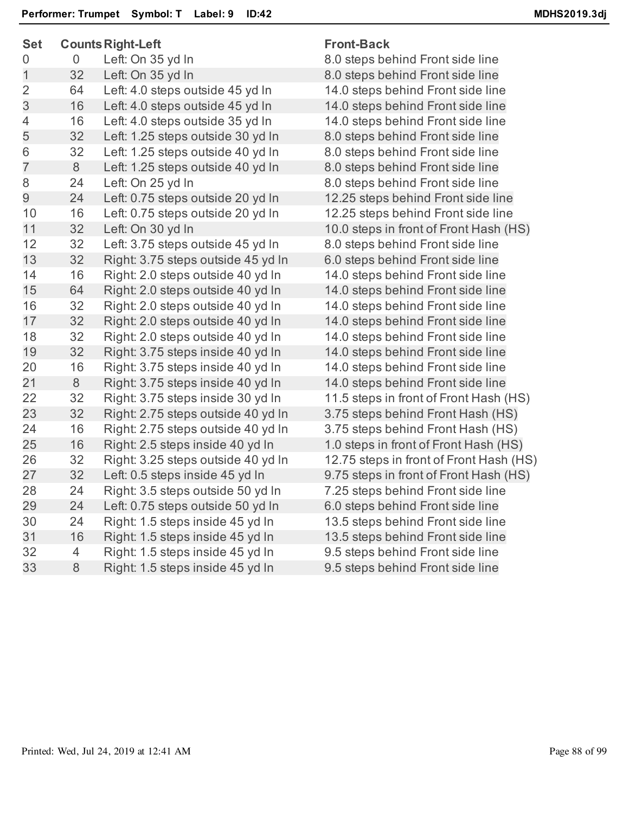| ᇰᇰ               |    | o odnica i vignica che             | חטווני∟מטו    |
|------------------|----|------------------------------------|---------------|
| $\boldsymbol{0}$ | 0  | Left: On 35 yd In                  | 8.0 steps be  |
| $\mathbf 1$      | 32 | Left: On 35 yd In                  | 8.0 steps be  |
| $\overline{2}$   | 64 | Left: 4.0 steps outside 45 yd In   | 14.0 steps b  |
| 3                | 16 | Left: 4.0 steps outside 45 yd In   | 14.0 steps b  |
| $\overline{4}$   | 16 | Left: 4.0 steps outside 35 yd In   | 14.0 steps b  |
| 5                | 32 | Left: 1.25 steps outside 30 yd In  | 8.0 steps be  |
| 6                | 32 | Left: 1.25 steps outside 40 yd In  | 8.0 steps be  |
| $\overline{7}$   | 8  | Left: 1.25 steps outside 40 yd In  | 8.0 steps be  |
| 8                | 24 | Left: On 25 yd In                  | 8.0 steps be  |
| 9                | 24 | Left: 0.75 steps outside 20 yd In  | $12.25$ steps |
| 10               | 16 | Left: 0.75 steps outside 20 yd In  | $12.25$ steps |
| 11               | 32 | Left: On 30 yd In                  | 10.0 steps in |
| 12               | 32 | Left: 3.75 steps outside 45 yd In  | 8.0 steps be  |
| 13               | 32 | Right: 3.75 steps outside 45 yd In | 6.0 steps be  |
| 14               | 16 | Right: 2.0 steps outside 40 yd In  | 14.0 steps b  |
| 15               | 64 | Right: 2.0 steps outside 40 yd In  | 14.0 steps b  |
| 16               | 32 | Right: 2.0 steps outside 40 yd In  | 14.0 steps b  |
| 17               | 32 | Right: 2.0 steps outside 40 yd In  | 14.0 steps b  |
| 18               | 32 | Right: 2.0 steps outside 40 yd In  | 14.0 steps b  |
| 19               | 32 | Right: 3.75 steps inside 40 yd In  | 14.0 steps b  |
| 20               | 16 | Right: 3.75 steps inside 40 yd In  | 14.0 steps b  |
| 21               | 8  | Right: 3.75 steps inside 40 yd In  | 14.0 steps b  |
| 22               | 32 | Right: 3.75 steps inside 30 yd In  | 11.5 steps ir |
| 23               | 32 | Right: 2.75 steps outside 40 yd In | 3.75 steps b  |
| 24               | 16 | Right: 2.75 steps outside 40 yd In | 3.75 steps b  |
| 25               | 16 | Right: 2.5 steps inside 40 yd In   | 1.0 steps in  |
| 26               | 32 | Right: 3.25 steps outside 40 yd In | $12.75$ steps |
| 27               | 32 | Left: 0.5 steps inside 45 yd In    | 9.75 steps in |
| 28               | 24 | Right: 3.5 steps outside 50 yd In  | 7.25 steps b  |
| 29               | 24 | Left: 0.75 steps outside 50 yd In  | 6.0 steps be  |
| 30               | 24 | Right: 1.5 steps inside 45 yd In   | 13.5 steps b  |
| 31               | 16 | Right: 1.5 steps inside 45 yd In   | 13.5 steps b  |
| 32               | 4  | Right: 1.5 steps inside 45 yd In   | 9.5 steps be  |
| 33               | 8  | Right: 1.5 steps inside 45 yd In   | 9.5 steps be  |
|                  |    |                                    |               |

## **Set CountsRight-Left Front-Back**

hind Front side line hind Front side line ehind Front side line ehind Front side line ehind Front side line hind Front side line hind Front side line hind Front side line hind Front side line behind Front side line behind Front side line 1 front of Front Hash (HS) hind Front side line hind Front side line ehind Front side line ehind Front side line ehind Front side line ehind Front side line ehind Front side line ehind Front side line ehind Front side line ehind Front side line 1 front of Front Hash (HS) ehind Front Hash (HS) ehind Front Hash (HS) front of Front Hash (HS) in front of Front Hash (HS) 1 front of Front Hash (HS) ehind Front side line hind Front side line ehind Front side line ehind Front side line hind Front side line hind Front side line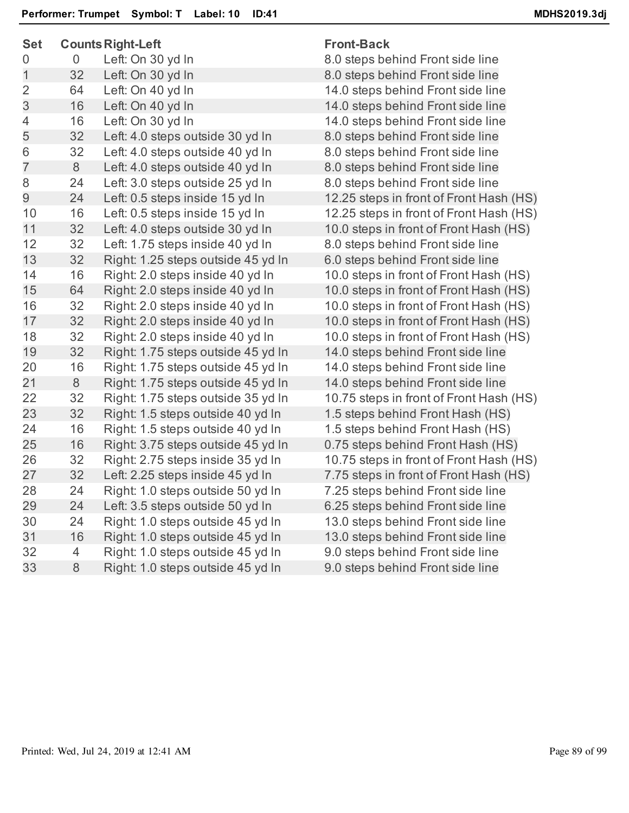| <b>Set</b>     |                | <b>Counts Right-Left</b>           | <b>Front-Back</b>                       |
|----------------|----------------|------------------------------------|-----------------------------------------|
| 0              | $\overline{0}$ | Left: On 30 yd In                  | 8.0 steps behind Front side line        |
| $\mathbf{1}$   | 32             | Left: On 30 yd In                  | 8.0 steps behind Front side line        |
| $\overline{2}$ | 64             | Left: On 40 yd In                  | 14.0 steps behind Front side line       |
| 3              | 16             | Left: On 40 yd In                  | 14.0 steps behind Front side line       |
| 4              | 16             | Left: On 30 yd In                  | 14.0 steps behind Front side line       |
| 5              | 32             | Left: 4.0 steps outside 30 yd In   | 8.0 steps behind Front side line        |
| 6              | 32             | Left: 4.0 steps outside 40 yd In   | 8.0 steps behind Front side line        |
| $\overline{7}$ | 8              | Left: 4.0 steps outside 40 yd In   | 8.0 steps behind Front side line        |
| 8              | 24             | Left: 3.0 steps outside 25 yd In   | 8.0 steps behind Front side line        |
| 9              | 24             | Left: 0.5 steps inside 15 yd In    | 12.25 steps in front of Front Hash (HS) |
| 10             | 16             | Left: 0.5 steps inside 15 yd In    | 12.25 steps in front of Front Hash (HS) |
| 11             | 32             | Left: 4.0 steps outside 30 yd In   | 10.0 steps in front of Front Hash (HS)  |
| 12             | 32             | Left: 1.75 steps inside 40 yd In   | 8.0 steps behind Front side line        |
| 13             | 32             | Right: 1.25 steps outside 45 yd In | 6.0 steps behind Front side line        |
| 14             | 16             | Right: 2.0 steps inside 40 yd In   | 10.0 steps in front of Front Hash (HS)  |
| 15             | 64             | Right: 2.0 steps inside 40 yd In   | 10.0 steps in front of Front Hash (HS)  |
| 16             | 32             | Right: 2.0 steps inside 40 yd In   | 10.0 steps in front of Front Hash (HS)  |
| 17             | 32             | Right: 2.0 steps inside 40 yd In   | 10.0 steps in front of Front Hash (HS)  |
| 18             | 32             | Right: 2.0 steps inside 40 yd In   | 10.0 steps in front of Front Hash (HS)  |
| 19             | 32             | Right: 1.75 steps outside 45 yd In | 14.0 steps behind Front side line       |
| 20             | 16             | Right: 1.75 steps outside 45 yd In | 14.0 steps behind Front side line       |
| 21             | $8\,$          | Right: 1.75 steps outside 45 yd In | 14.0 steps behind Front side line       |
| 22             | 32             | Right: 1.75 steps outside 35 yd In | 10.75 steps in front of Front Hash (HS) |
| 23             | 32             | Right: 1.5 steps outside 40 yd In  | 1.5 steps behind Front Hash (HS)        |
| 24             | 16             | Right: 1.5 steps outside 40 yd In  | 1.5 steps behind Front Hash (HS)        |
| 25             | 16             | Right: 3.75 steps outside 45 yd In | 0.75 steps behind Front Hash (HS)       |
| 26             | 32             | Right: 2.75 steps inside 35 yd In  | 10.75 steps in front of Front Hash (HS) |
| 27             | 32             | Left: 2.25 steps inside 45 yd In   | 7.75 steps in front of Front Hash (HS)  |
| 28             | 24             | Right: 1.0 steps outside 50 yd In  | 7.25 steps behind Front side line       |
| 29             | 24             | Left: 3.5 steps outside 50 yd In   | 6.25 steps behind Front side line       |
| 30             | 24             | Right: 1.0 steps outside 45 yd In  | 13.0 steps behind Front side line       |
| 31             | 16             | Right: 1.0 steps outside 45 yd In  | 13.0 steps behind Front side line       |
| 32             | 4              | Right: 1.0 steps outside 45 yd In  | 9.0 steps behind Front side line        |
| 33             | $\,8\,$        | Right: 1.0 steps outside 45 yd In  | 9.0 steps behind Front side line        |
|                |                |                                    |                                         |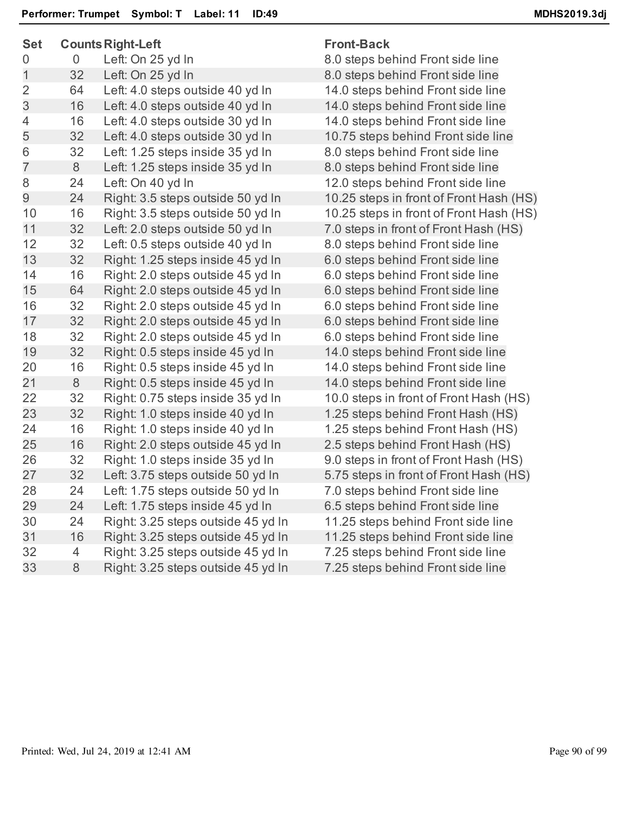| つせい<br>Counts Night-Left<br>ι ι υπι-ρασκ |                |                                    |                                         |
|------------------------------------------|----------------|------------------------------------|-----------------------------------------|
| 0                                        | 0              | Left: On 25 yd In                  | 8.0 steps behind Front side line        |
| $\mathbf 1$                              | 32             | Left: On 25 yd In                  | 8.0 steps behind Front side line        |
| $\overline{2}$                           | 64             | Left: 4.0 steps outside 40 yd In   | 14.0 steps behind Front side line       |
| 3                                        | 16             | Left: 4.0 steps outside 40 yd In   | 14.0 steps behind Front side line       |
| $\overline{4}$                           | 16             | Left: 4.0 steps outside 30 yd In   | 14.0 steps behind Front side line       |
| 5                                        | 32             | Left: 4.0 steps outside 30 yd In   | 10.75 steps behind Front side line      |
| 6                                        | 32             | Left: 1.25 steps inside 35 yd In   | 8.0 steps behind Front side line        |
| $\overline{7}$                           | 8              | Left: 1.25 steps inside 35 yd In   | 8.0 steps behind Front side line        |
| 8                                        | 24             | Left: On 40 yd In                  | 12.0 steps behind Front side line       |
| 9                                        | 24             | Right: 3.5 steps outside 50 yd In  | 10.25 steps in front of Front Hash (HS) |
| 10                                       | 16             | Right: 3.5 steps outside 50 yd In  | 10.25 steps in front of Front Hash (HS) |
| 11                                       | 32             | Left: 2.0 steps outside 50 yd In   | 7.0 steps in front of Front Hash (HS)   |
| 12                                       | 32             | Left: 0.5 steps outside 40 yd In   | 8.0 steps behind Front side line        |
| 13                                       | 32             | Right: 1.25 steps inside 45 yd In  | 6.0 steps behind Front side line        |
| 14                                       | 16             | Right: 2.0 steps outside 45 yd In  | 6.0 steps behind Front side line        |
| 15                                       | 64             | Right: 2.0 steps outside 45 yd In  | 6.0 steps behind Front side line        |
| 16                                       | 32             | Right: 2.0 steps outside 45 yd In  | 6.0 steps behind Front side line        |
| 17                                       | 32             | Right: 2.0 steps outside 45 yd In  | 6.0 steps behind Front side line        |
| 18                                       | 32             | Right: 2.0 steps outside 45 yd In  | 6.0 steps behind Front side line        |
| 19                                       | 32             | Right: 0.5 steps inside 45 yd In   | 14.0 steps behind Front side line       |
| 20                                       | 16             | Right: 0.5 steps inside 45 yd In   | 14.0 steps behind Front side line       |
| 21                                       | 8              | Right: 0.5 steps inside 45 yd In   | 14.0 steps behind Front side line       |
| 22                                       | 32             | Right: 0.75 steps inside 35 yd In  | 10.0 steps in front of Front Hash (HS)  |
| 23                                       | 32             | Right: 1.0 steps inside 40 yd In   | 1.25 steps behind Front Hash (HS)       |
| 24                                       | 16             | Right: 1.0 steps inside 40 yd In   | 1.25 steps behind Front Hash (HS)       |
| 25                                       | 16             | Right: 2.0 steps outside 45 yd In  | 2.5 steps behind Front Hash (HS)        |
| 26                                       | 32             | Right: 1.0 steps inside 35 yd In   | 9.0 steps in front of Front Hash (HS)   |
| 27                                       | 32             | Left: 3.75 steps outside 50 yd In  | 5.75 steps in front of Front Hash (HS)  |
| 28                                       | 24             | Left: 1.75 steps outside 50 yd In  | 7.0 steps behind Front side line        |
| 29                                       | 24             | Left: 1.75 steps inside 45 yd In   | 6.5 steps behind Front side line        |
| 30                                       | 24             | Right: 3.25 steps outside 45 yd In | 11.25 steps behind Front side line      |
| 31                                       | 16             | Right: 3.25 steps outside 45 yd In | 11.25 steps behind Front side line      |
| 32                                       | $\overline{4}$ | Right: 3.25 steps outside 45 yd In | 7.25 steps behind Front side line       |
| 33                                       | 8              | Right: 3.25 steps outside 45 yd In | 7.25 steps behind Front side line       |
|                                          |                |                                    |                                         |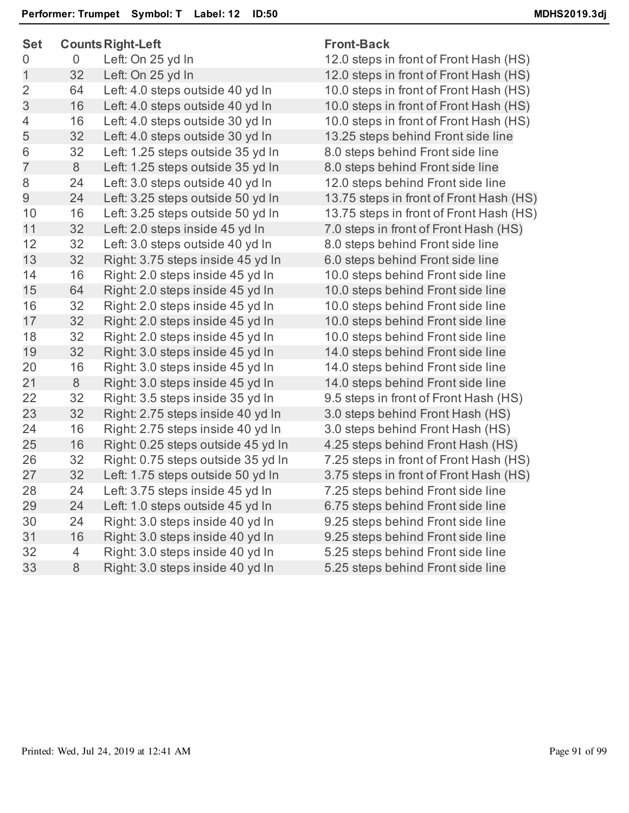| つらい            |                | Counts Right-Left                  | <u>FIUIIL-DACN</u>   |
|----------------|----------------|------------------------------------|----------------------|
| 0              | 0              | Left: On 25 yd In                  | 12.0 steps in front  |
| $\overline{1}$ | 32             | Left: On 25 yd In                  | 12.0 steps in front  |
| $\overline{2}$ | 64             | Left: 4.0 steps outside 40 yd In   | 10.0 steps in front  |
| 3              | 16             | Left: 4.0 steps outside 40 yd In   | 10.0 steps in front  |
| $\overline{4}$ | 16             | Left: 4.0 steps outside 30 yd In   | 10.0 steps in front  |
| 5              | 32             | Left: 4.0 steps outside 30 yd In   | 13.25 steps behin    |
| 6              | 32             | Left: 1.25 steps outside 35 yd In  | 8.0 steps behind F   |
| $\overline{7}$ | 8              | Left: 1.25 steps outside 35 yd In  | 8.0 steps behind F   |
| 8              | 24             | Left: 3.0 steps outside 40 yd In   | 12.0 steps behind    |
| 9              | 24             | Left: 3.25 steps outside 50 yd In  | 13.75 steps in fron  |
| 10             | 16             | Left: 3.25 steps outside 50 yd In  | 13.75 steps in fron  |
| 11             | 32             | Left: 2.0 steps inside 45 yd In    | 7.0 steps in front o |
| 12             | 32             | Left: 3.0 steps outside 40 yd In   | 8.0 steps behind F   |
| 13             | 32             | Right: 3.75 steps inside 45 yd In  | 6.0 steps behind F   |
| 14             | 16             | Right: 2.0 steps inside 45 yd In   | 10.0 steps behind    |
| 15             | 64             | Right: 2.0 steps inside 45 yd In   | 10.0 steps behind    |
| 16             | 32             | Right: 2.0 steps inside 45 yd In   | 10.0 steps behind    |
| 17             | 32             | Right: 2.0 steps inside 45 yd In   | 10.0 steps behind    |
| 18             | 32             | Right: 2.0 steps inside 45 yd In   | 10.0 steps behind    |
| 19             | 32             | Right: 3.0 steps inside 45 yd In   | 14.0 steps behind    |
| 20             | 16             | Right: 3.0 steps inside 45 yd In   | 14.0 steps behind    |
| 21             | 8              | Right: 3.0 steps inside 45 yd In   | 14.0 steps behind    |
| 22             | 32             | Right: 3.5 steps inside 35 yd In   | 9.5 steps in front o |
| 23             | 32             | Right: 2.75 steps inside 40 yd In  | 3.0 steps behind F   |
| 24             | 16             | Right: 2.75 steps inside 40 yd In  | 3.0 steps behind F   |
| 25             | 16             | Right: 0.25 steps outside 45 yd In | 4.25 steps behind    |
| 26             | 32             | Right: 0.75 steps outside 35 yd In | 7.25 steps in front  |
| 27             | 32             | Left: 1.75 steps outside 50 yd In  | 3.75 steps in front  |
| 28             | 24             | Left: 3.75 steps inside 45 yd In   | 7.25 steps behind    |
| 29             | 24             | Left: 1.0 steps outside 45 yd In   | 6.75 steps behind    |
| 30             | 24             | Right: 3.0 steps inside 40 yd In   | 9.25 steps behind    |
| 31             | 16             | Right: 3.0 steps inside 40 yd In   | 9.25 steps behind    |
| 32             | $\overline{4}$ | Right: 3.0 steps inside 40 yd In   | 5.25 steps behind    |
| 33             | 8              | Right: 3.0 steps inside 40 yd In   | 5.25 steps behind    |
|                |                |                                    |                      |

## **Set CountsRight-Left Front-Back**

of Front Hash (HS) of Front Hash (HS) of Front Hash (HS) of Front Hash (HS) of Front Hash (HS) d Front side line front side line ront side line **Front side line** It of Front Hash (HS) It of Front Hash (HS). f Front Hash (HS) iont side line ront side line **Front side line Front side line Front side line** Front side line **Front side line Front side line** Front side line **Front side line** f Front Hash (HS) Front Hash (HS) Front Hash (HS) Front Hash (HS) of Front Hash (HS) of Front Hash (HS) **Front side line Front side line Front side line Front side line Front side line Front side line**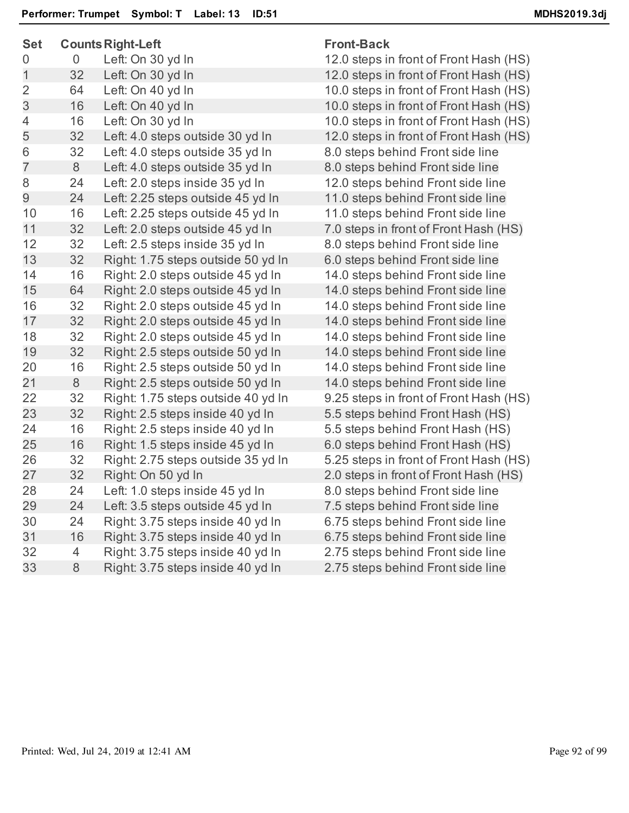| <b>Set</b>     |                | <b>Counts Right-Left</b>           | <b>Front-Back</b>                      |
|----------------|----------------|------------------------------------|----------------------------------------|
| 0              | $\overline{0}$ | Left: On 30 yd In                  | 12.0 steps in front of Front Hash (HS) |
| 1              | 32             | Left: On 30 yd In                  | 12.0 steps in front of Front Hash (HS) |
| $\overline{2}$ | 64             | Left: On 40 yd In                  | 10.0 steps in front of Front Hash (HS) |
| 3              | 16             | Left: On 40 yd In                  | 10.0 steps in front of Front Hash (HS) |
| 4              | 16             | Left: On 30 yd In                  | 10.0 steps in front of Front Hash (HS) |
| 5              | 32             | Left: 4.0 steps outside 30 yd In   | 12.0 steps in front of Front Hash (HS) |
| 6              | 32             | Left: 4.0 steps outside 35 yd In   | 8.0 steps behind Front side line       |
| $\overline{7}$ | 8              | Left: 4.0 steps outside 35 yd In   | 8.0 steps behind Front side line       |
| 8              | 24             | Left: 2.0 steps inside 35 yd In    | 12.0 steps behind Front side line      |
| 9              | 24             | Left: 2.25 steps outside 45 yd In  | 11.0 steps behind Front side line      |
| 10             | 16             | Left: 2.25 steps outside 45 yd In  | 11.0 steps behind Front side line      |
| 11             | 32             | Left: 2.0 steps outside 45 yd In   | 7.0 steps in front of Front Hash (HS)  |
| 12             | 32             | Left: 2.5 steps inside 35 yd In    | 8.0 steps behind Front side line       |
| 13             | 32             | Right: 1.75 steps outside 50 yd In | 6.0 steps behind Front side line       |
| 14             | 16             | Right: 2.0 steps outside 45 yd In  | 14.0 steps behind Front side line      |
| 15             | 64             | Right: 2.0 steps outside 45 yd In  | 14.0 steps behind Front side line      |
| 16             | 32             | Right: 2.0 steps outside 45 yd In  | 14.0 steps behind Front side line      |
| 17             | 32             | Right: 2.0 steps outside 45 yd In  | 14.0 steps behind Front side line      |
| 18             | 32             | Right: 2.0 steps outside 45 yd In  | 14.0 steps behind Front side line      |
| 19             | 32             | Right: 2.5 steps outside 50 yd In  | 14.0 steps behind Front side line      |
| 20             | 16             | Right: 2.5 steps outside 50 yd In  | 14.0 steps behind Front side line      |
| 21             | 8              | Right: 2.5 steps outside 50 yd In  | 14.0 steps behind Front side line      |
| 22             | 32             | Right: 1.75 steps outside 40 yd In | 9.25 steps in front of Front Hash (HS) |
| 23             | 32             | Right: 2.5 steps inside 40 yd In   | 5.5 steps behind Front Hash (HS)       |
| 24             | 16             | Right: 2.5 steps inside 40 yd In   | 5.5 steps behind Front Hash (HS)       |
| 25             | 16             | Right: 1.5 steps inside 45 yd In   | 6.0 steps behind Front Hash (HS)       |
| 26             | 32             | Right: 2.75 steps outside 35 yd In | 5.25 steps in front of Front Hash (HS) |
| 27             | 32             | Right: On 50 yd In                 | 2.0 steps in front of Front Hash (HS)  |
| 28             | 24             | Left: 1.0 steps inside 45 yd In    | 8.0 steps behind Front side line       |
| 29             | 24             | Left: 3.5 steps outside 45 yd In   | 7.5 steps behind Front side line       |
| 30             | 24             | Right: 3.75 steps inside 40 yd In  | 6.75 steps behind Front side line      |
| 31             | 16             | Right: 3.75 steps inside 40 yd In  | 6.75 steps behind Front side line      |
| 32             | 4              | Right: 3.75 steps inside 40 yd In  | 2.75 steps behind Front side line      |
| 33             | 8              | Right: 3.75 steps inside 40 yd In  | 2.75 steps behind Front side line      |
|                |                |                                    |                                        |